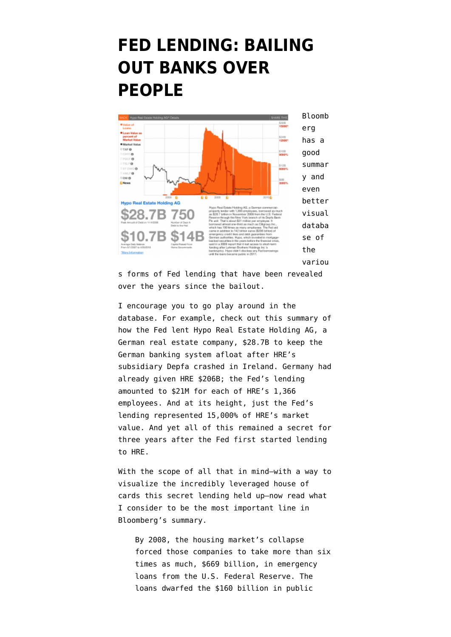## **[FED LENDING: BAILING](https://www.emptywheel.net/2011/08/22/fed-lending-bailing-out-banks-over-people/) [OUT BANKS OVER](https://www.emptywheel.net/2011/08/22/fed-lending-bailing-out-banks-over-people/) [PEOPLE](https://www.emptywheel.net/2011/08/22/fed-lending-bailing-out-banks-over-people/)**



s forms of Fed lending that have been revealed over the years since the bailout.

I encourage you to go play around in the database. For example, check out [this summary](http://www.bloomberg.com/news/2011-08-21/wall-street-aristocracy-got-1-2-trillion-in-fed-s-secret-loans.html) of how the Fed lent Hypo Real Estate Holding AG, a German real estate company, \$28.7B to keep the German banking system afloat after HRE's subsidiary Depfa [crashed in Ireland](http://www.marketwatch.com/story/germanys-hypo-real-estate-gets-thrown-a-lifeline-shares-drop?dist=msr_29). Germany had already given HRE \$206B; the Fed's lending amounted to \$21M for each of HRE's 1,366 employees. And at its height, just the Fed's lending represented 15,000% of HRE's market value. And yet all of this remained a secret for three years after the Fed first started lending to HRE.

With the scope of all that in mind–with a way to visualize the incredibly leveraged house of cards this secret lending held up–now read what I consider to be the most important line in Bloomberg's summary.

By 2008, the housing market's collapse forced those companies to take more than six times as much, \$669 billion, in emergency loans from the U.S. Federal Reserve. The loans dwarfed the \$160 billion in public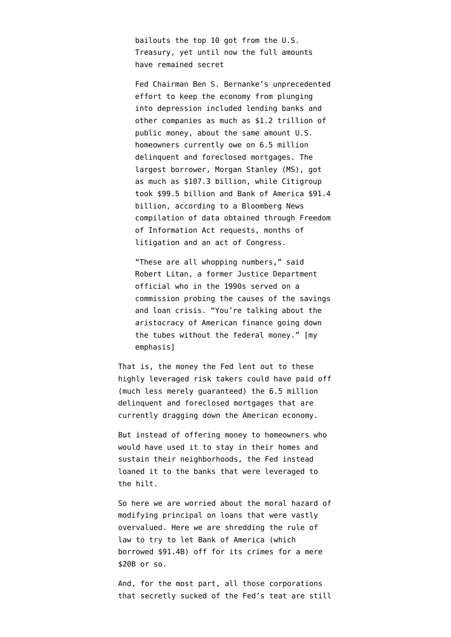bailouts the top 10 got from the U.S. Treasury, yet until now the full amounts have remained secret

Fed Chairman Ben S. Bernanke's unprecedented effort to keep the economy from plunging into depression included lending banks and other companies as much as \$1.2 trillion of public money, about the same amount U.S. homeowners currently owe on 6.5 million delinquent and foreclosed mortgages. The largest borrower, Morgan Stanley (MS), got as much as \$107.3 billion, while Citigroup took \$99.5 billion and Bank of America \$91.4 billion, according to a Bloomberg News compilation of data obtained through Freedom of Information Act requests, months of litigation and an act of Congress.

"These are all whopping numbers," said Robert Litan, a former Justice Department official who in the 1990s served on a commission probing the causes of the savings and loan crisis. "You're talking about the aristocracy of American finance going down the tubes without the federal money." [my emphasis]

That is, the money the Fed lent out to these highly leveraged risk takers could have paid off (much less merely guaranteed) the 6.5 million delinquent and foreclosed mortgages that are currently dragging down the American economy.

But instead of offering money to homeowners who would have used it to stay in their homes and sustain their neighborhoods, the Fed instead loaned it to the banks that were leveraged to the hilt.

So here we are worried about the moral hazard of modifying principal on loans that were vastly overvalued. Here we are [shredding the rule of](http://www.emptywheel.net/2011/08/21/2-funny-things-about-obama-administrations-effort-to-pressure-eric-schneiderman/) [law](http://www.emptywheel.net/2011/08/21/2-funny-things-about-obama-administrations-effort-to-pressure-eric-schneiderman/) to try to let Bank of America [\(which](http://bloom.bg/naJ3Pg) [borrowed \\$91.4B\)](http://bloom.bg/naJ3Pg) off for its crimes for a mere \$20B or so.

And, for the most part, all those corporations that secretly sucked of the Fed's teat are still